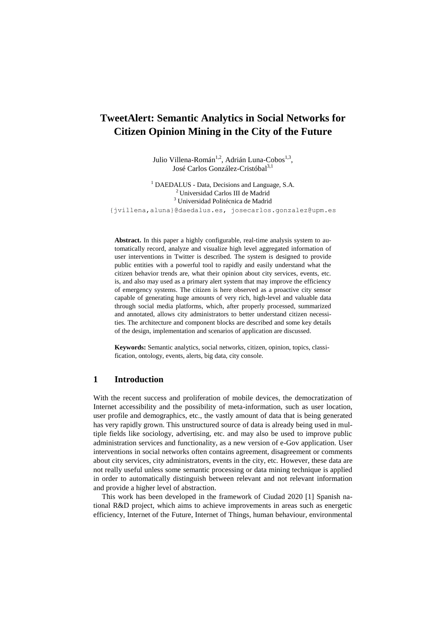# **TweetAlert: Semantic Analytics in Social Networks for Citizen Opinion Mining in the City of the Future**

Julio Villena-Román<sup>1,2</sup>, Adrián Luna-Cobos<sup>1,3</sup>, José Carlos González-Cristóbal<sup>3,1</sup>

<sup>1</sup> DAEDALUS - Data, Decisions and Language, S.A. <sup>2</sup>Universidad Carlos III de Madrid <sup>3</sup> Universidad Politécnica de Madrid {jvillena,aluna}@daedalus.es, josecarlos.gonzalez@upm.es

**Abstract.** In this paper a highly configurable, real-time analysis system to automatically record, analyze and visualize high level aggregated information of user interventions in Twitter is described. The system is designed to provide public entities with a powerful tool to rapidly and easily understand what the citizen behavior trends are, what their opinion about city services, events, etc. is, and also may used as a primary alert system that may improve the efficiency of emergency systems. The citizen is here observed as a proactive city sensor capable of generating huge amounts of very rich, high-level and valuable data through social media platforms, which, after properly processed, summarized and annotated, allows city administrators to better understand citizen necessities. The architecture and component blocks are described and some key details of the design, implementation and scenarios of application are discussed.

**Keywords:** Semantic analytics, social networks, citizen, opinion, topics, classification, ontology, events, alerts, big data, city console.

# **1 Introduction**

With the recent success and proliferation of mobile devices, the democratization of Internet accessibility and the possibility of meta-information, such as user location, user profile and demographics, etc., the vastly amount of data that is being generated has very rapidly grown. This unstructured source of data is already being used in multiple fields like sociology, advertising, etc. and may also be used to improve public administration services and functionality, as a new version of e-Gov application. User interventions in social networks often contains agreement, disagreement or comments about city services, city administrators, events in the city, etc. However, these data are not really useful unless some semantic processing or data mining technique is applied in order to automatically distinguish between relevant and not relevant information and provide a higher level of abstraction.

This work has been developed in the framework of Ciudad 2020 [\[1\]](#page-8-0) Spanish national R&D project, which aims to achieve improvements in areas such as energetic efficiency, Internet of the Future, Internet of Things, human behaviour, environmental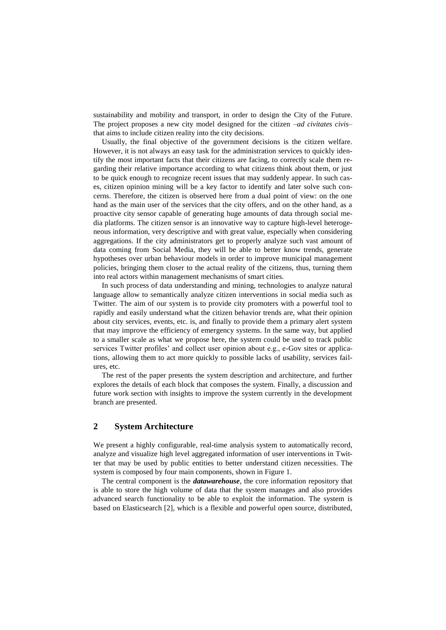sustainability and mobility and transport, in order to design the City of the Future. The project proposes a new city model designed for the citizen –*ad civitates civis*– that aims to include citizen reality into the city decisions.

Usually, the final objective of the government decisions is the citizen welfare. However, it is not always an easy task for the administration services to quickly identify the most important facts that their citizens are facing, to correctly scale them regarding their relative importance according to what citizens think about them, or just to be quick enough to recognize recent issues that may suddenly appear. In such cases, citizen opinion mining will be a key factor to identify and later solve such concerns. Therefore, the citizen is observed here from a dual point of view: on the one hand as the main user of the services that the city offers, and on the other hand, as a proactive city sensor capable of generating huge amounts of data through social media platforms. The citizen sensor is an innovative way to capture high-level heterogeneous information, very descriptive and with great value, especially when considering aggregations. If the city administrators get to properly analyze such vast amount of data coming from Social Media, they will be able to better know trends, generate hypotheses over urban behaviour models in order to improve municipal management policies, bringing them closer to the actual reality of the citizens, thus, turning them into real actors within management mechanisms of smart cities.

In such process of data understanding and mining, technologies to analyze natural language allow to semantically analyze citizen interventions in social media such as Twitter. The aim of our system is to provide city promoters with a powerful tool to rapidly and easily understand what the citizen behavior trends are, what their opinion about city services, events, etc. is, and finally to provide them a primary alert system that may improve the efficiency of emergency systems. In the same way, but applied to a smaller scale as what we propose here, the system could be used to track public services Twitter profiles' and collect user opinion about e.g., e-Gov sites or applications, allowing them to act more quickly to possible lacks of usability, services failures, etc.

The rest of the paper presents the system description and architecture, and further explores the details of each block that composes the system. Finally, a discussion and future work section with insights to improve the system currently in the development branch are presented.

# **2 System Architecture**

We present a highly configurable, real-time analysis system to automatically record, analyze and visualize high level aggregated information of user interventions in Twitter that may be used by public entities to better understand citizen necessities. The system is composed by four main components, shown in Figure 1.

The central component is the *datawarehouse*, the core information repository that is able to store the high volume of data that the system manages and also provides advanced search functionality to be able to exploit the information. The system is based on Elasticsearch [\[2\]](#page-8-1), which is a flexible and powerful open source, distributed,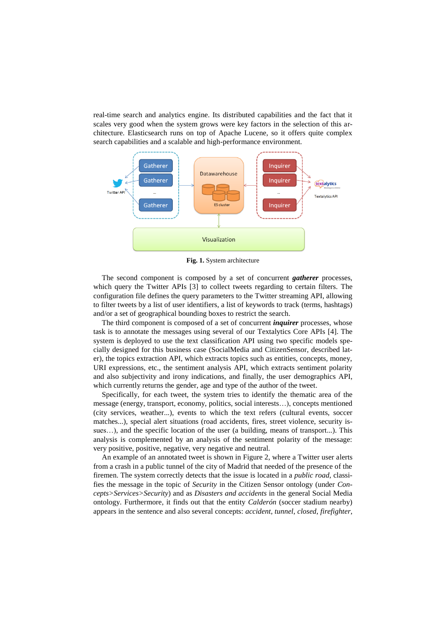real-time search and analytics engine. Its distributed capabilities and the fact that it scales very good when the system grows were key factors in the selection of this architecture. Elasticsearch runs on top of Apache Lucene, so it offers quite complex search capabilities and a scalable and high-performance environment.



**Fig. 1.** System architecture

The second component is composed by a set of concurrent *gatherer* processes, which query the Twitter APIs [\[3\]](#page-8-2) to collect tweets regarding to certain filters. The configuration file defines the query parameters to the Twitter streaming API, allowing to filter tweets by a list of user identifiers, a list of keywords to track (terms, hashtags) and/or a set of geographical bounding boxes to restrict the search.

The third component is composed of a set of concurrent *inquirer* processes, whose task is to annotate the messages using several of our Textalytics Core APIs [\[4\]](#page-8-3). The system is deployed to use the text classification API using two specific models specially designed for this business case (SocialMedia and CitizenSensor, described later), the topics extraction API, which extracts topics such as entities, concepts, money, URI expressions, etc., the sentiment analysis API, which extracts sentiment polarity and also subjectivity and irony indications, and finally, the user demographics API, which currently returns the gender, age and type of the author of the tweet.

Specifically, for each tweet, the system tries to identify the thematic area of the message (energy, transport, economy, politics, social interests…), concepts mentioned (city services, weather...), events to which the text refers (cultural events, soccer matches...), special alert situations (road accidents, fires, street violence, security issues…), and the specific location of the user (a building, means of transport...). This analysis is complemented by an analysis of the sentiment polarity of the message: very positive, positive, negative, very negative and neutral.

An example of an annotated tweet is shown in Figure 2, where a Twitter user alerts from a crash in a public tunnel of the city of Madrid that needed of the presence of the firemen. The system correctly detects that the issue is located in a *public road*, classifies the message in the topic of *Security* in the Citizen Sensor ontology (under *Concepts>Services>Security*) and as *Disasters and accidents* in the general Social Media ontology. Furthermore, it finds out that the entity *Calderón* (soccer stadium nearby) appears in the sentence and also several concepts: *accident*, *tunnel*, *closed*, *firefighter*,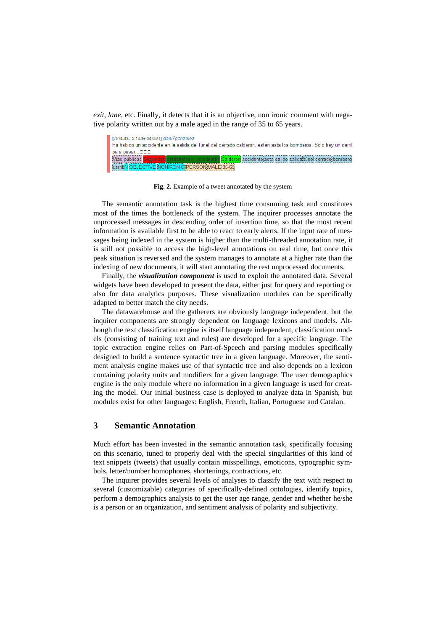*exit*, *lane*, etc. Finally, it detects that it is an objective, non ironic comment with negative polarity written out by a male aged in the range of 35 to 65 years.



**Fig. 2.** Example of a tweet annotated by the system

The semantic annotation task is the highest time consuming task and constitutes most of the times the bottleneck of the system. The inquirer processes annotate the unprocessed messages in descending order of insertion time, so that the most recent information is available first to be able to react to early alerts. If the input rate of messages being indexed in the system is higher than the multi-threaded annotation rate, it is still not possible to access the high-level annotations on real time, but once this peak situation is reversed and the system manages to annotate at a higher rate than the indexing of new documents, it will start annotating the rest unprocessed documents.

Finally, the *visualization component* is used to exploit the annotated data. Several widgets have been developed to present the data, either just for query and reporting or also for data analytics purposes. These visualization modules can be specifically adapted to better match the city needs.

The datawarehouse and the gatherers are obviously language independent, but the inquirer components are strongly dependent on language lexicons and models. Although the text classification engine is itself language independent, classification models (consisting of training text and rules) are developed for a specific language. The topic extraction engine relies on Part-of-Speech and parsing modules specifically designed to build a sentence syntactic tree in a given language. Moreover, the sentiment analysis engine makes use of that syntactic tree and also depends on a lexicon containing polarity units and modifiers for a given language. The user demographics engine is the only module where no information in a given language is used for creating the model. Our initial business case is deployed to analyze data in Spanish, but modules exist for other languages: English, French, Italian, Portuguese and Catalan.

# **3 Semantic Annotation**

Much effort has been invested in the semantic annotation task, specifically focusing on this scenario, tuned to properly deal with the special singularities of this kind of text snippets (tweets) that usually contain misspellings, emoticons, typographic symbols, letter/number homophones, shortenings, contractions, etc.

The inquirer provides several levels of analyses to classify the text with respect to several (customizable) categories of specifically-defined ontologies, identify topics, perform a demographics analysis to get the user age range, gender and whether he/she is a person or an organization, and sentiment analysis of polarity and subjectivity.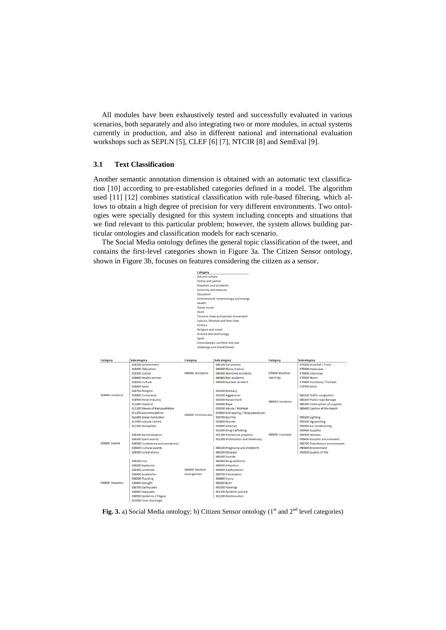All modules have been exhaustively tested and successfully evaluated in various scenarios, both separately and also integrating two or more modules, in actual systems currently in production, and also in different national and international evaluation workshops such as SEPLN [\[5\]](#page-8-4), CLEF [\[6\]](#page-8-5) [\[7\]](#page-8-6), NTCIR [\[8\]](#page-9-0) and SemEval [\[9\]](#page-9-1).

### **3.1 Text Classification**

Another semantic annotation dimension is obtained with an automatic text classification [\[10\]](#page-9-2) according to pre-established categories defined in a model. The algorithm used [\[11\]](#page-9-3) [\[12\]](#page-9-4) combines statistical classification with rule-based filtering, which allows to obtain a high degree of precision for very different environments. Two ontologies were specially designed for this system including concepts and situations that we find relevant to this particular problem; however, the system allows building particular ontologies and classification models for each scenario.

The Social Media ontology defines the general topic classification of the tweet, and contains the first-level categories shown in Figure 3a. The Citizen Sensor ontology, shown in Figure 3b, focuses on features considering the citizen as a sensor.

|                                          |                                  | $rac{1}{2}$                                          |                                    |                  |                                 |  |  |
|------------------------------------------|----------------------------------|------------------------------------------------------|------------------------------------|------------------|---------------------------------|--|--|
|                                          |                                  | Art and culture                                      |                                    |                  |                                 |  |  |
|                                          |                                  | Police and justice<br><b>Disasters and accidents</b> |                                    |                  |                                 |  |  |
|                                          |                                  |                                                      |                                    |                  |                                 |  |  |
|                                          |                                  | Economy and treasury<br>Education                    |                                    |                  |                                 |  |  |
|                                          |                                  |                                                      |                                    |                  |                                 |  |  |
|                                          |                                  | Environment, meteorology and energy                  |                                    |                  |                                 |  |  |
|                                          |                                  | Health                                               |                                    |                  |                                 |  |  |
|                                          |                                  | <b>Social issues</b>                                 |                                    |                  |                                 |  |  |
|                                          |                                  | Work                                                 |                                    |                  |                                 |  |  |
|                                          |                                  |                                                      | Tourism, trips and people movement |                  |                                 |  |  |
|                                          |                                  |                                                      | Leisure, lifestyle and free time   |                  |                                 |  |  |
|                                          |                                  |                                                      |                                    |                  |                                 |  |  |
|                                          |                                  | <b>Religion and creed</b>                            |                                    |                  |                                 |  |  |
|                                          |                                  |                                                      |                                    |                  |                                 |  |  |
|                                          |                                  |                                                      |                                    |                  |                                 |  |  |
| Sport<br>Disturbances, conflicts and war |                                  |                                                      |                                    |                  |                                 |  |  |
|                                          |                                  |                                                      | Greetings and thankfulness         |                  |                                 |  |  |
|                                          |                                  |                                                      |                                    |                  |                                 |  |  |
|                                          |                                  |                                                      |                                    |                  |                                 |  |  |
| <b>Category</b>                          | <b>Subcategory</b>               | <b>Category</b>                                      | <b>Subcategory</b>                 | <b>Category</b>  | <b>Subcategory</b>              |  |  |
|                                          | 010100 Government                |                                                      | 040100 Car crashes                 |                  | 070200 Snowfall / Frost         |  |  |
|                                          | 010200 Education                 | 040000 Accidents                                     | 040200 Plane crashes               |                  | 070300 Heatwave                 |  |  |
|                                          | 010300 Justice                   |                                                      | 040300 Maritime accidents          | 070000 Weather   | 070400 Cold snap                |  |  |
|                                          | 010400 Health service            |                                                      | 040400 Rail accidents              | warnings         | 070500 Storm                    |  |  |
|                                          | 010500 Culture                   |                                                      | 040500 Nuclear accident            |                  | 070600 Hurricane / Tornado      |  |  |
|                                          | 010600 Sport                     |                                                      |                                    |                  | 070700 Wind                     |  |  |
|                                          | 010700 Religion                  |                                                      | 050100 Robbery                     |                  |                                 |  |  |
| 010000 Locations                         | 010800 Commerce                  |                                                      | 050200 Aggression                  |                  | 080100 Traffic congestion       |  |  |
|                                          | 010900 Hotel industry            |                                                      | 050300 Harassment                  |                  | 080200 Public road damage       |  |  |
|                                          | 011000 Outdoor                   |                                                      | 050400 Rape                        | 080000 Incidents | 080300 Interruption of supplies |  |  |
|                                          | 011100 Means of transportation   |                                                      | 050500 Abuse / Mistreat            |                  | 080400 Caution at the beach     |  |  |
|                                          | 011200 Accommodation             |                                                      | 050600 Kidnapping / Disappearances |                  |                                 |  |  |
|                                          | 011300 Social Institution        | 050000 Criminal acts                                 | 050700 Gunfire                     |                  | 090100 Lighting                 |  |  |
|                                          | 011400 Leisure Centre            |                                                      | 050800 Murder                      |                  | 090200 Signposting              |  |  |
|                                          |                                  |                                                      |                                    |                  |                                 |  |  |
|                                          | 011500 Workplace                 |                                                      | 050900 Attempt                     |                  | 090300 Air-conditioning         |  |  |
|                                          |                                  |                                                      | 051000 Drug trafficking            |                  | 090400 Supplies                 |  |  |
|                                          | 020100 Demonstration             |                                                      | 051100 Intelectual property        | 090000 Concepts  | 090500 Services                 |  |  |
|                                          | 020200 Sport events              |                                                      | 051200 Prostitution and Pederasty  |                  | 090600 Acoustic environment     |  |  |
| 020000 Events                            | 020300 Conference and convention |                                                      |                                    |                  | 090700 Odoriferous environment  |  |  |
|                                          | 020400 Cultural events           |                                                      | 060100 Pregnancy and childbirth    |                  | 090800 Environment              |  |  |
|                                          | 020500 Celebrations              |                                                      | 060200 Decease                     |                  | 090900 Quality of life          |  |  |
|                                          |                                  |                                                      | 060300 Suicide                     |                  |                                 |  |  |
| 030000 Disasters                         | 030100 Fire                      |                                                      | 060400 Drug addiction              |                  |                                 |  |  |
|                                          | 030200 Explosion                 |                                                      | 060500 Infarction                  |                  |                                 |  |  |
|                                          | 030300 Landslide                 | 060000 Medical                                       | 060600 Asphyxiation                |                  |                                 |  |  |
|                                          | 030400 Avalanche                 | emergencies                                          | 060700 Intoxication                |                  |                                 |  |  |
|                                          | 030500 Flooding                  |                                                      | 060800 Injury                      |                  |                                 |  |  |
|                                          | 030600 Drought                   |                                                      | 060900 Burn                        |                  |                                 |  |  |
|                                          | 030700 Earthquake                |                                                      | 061000 Fainting                    |                  |                                 |  |  |
|                                          | 030800 Seaquake                  |                                                      | 061100 Epilectic seizure           |                  |                                 |  |  |
|                                          | 030900 Epidemic / Plague         |                                                      | 061200 Electrocution               |                  |                                 |  |  |
|                                          | 031000 Toxic discharge           |                                                      |                                    |                  |                                 |  |  |
|                                          |                                  |                                                      |                                    |                  |                                 |  |  |

Fig. 3. a) Social Media ontology; b) Citizen Sensor ontology (1<sup>st</sup> and 2<sup>nd</sup> level categories)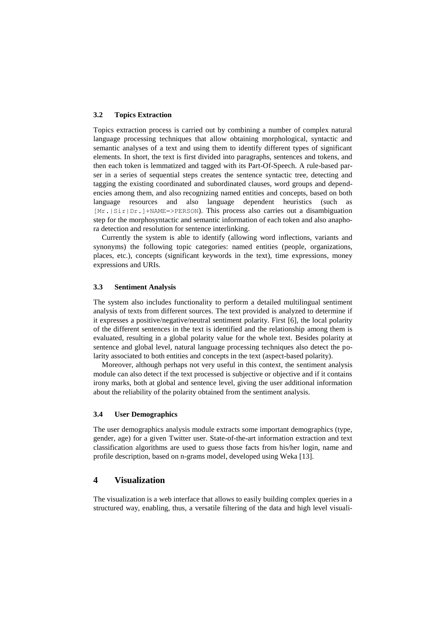#### **3.2 Topics Extraction**

Topics extraction process is carried out by combining a number of complex natural language processing techniques that allow obtaining morphological, syntactic and semantic analyses of a text and using them to identify different types of significant elements. In short, the text is first divided into paragraphs, sentences and tokens, and then each token is lemmatized and tagged with its Part-Of-Speech. A rule-based parser in a series of sequential steps creates the sentence syntactic tree, detecting and tagging the existing coordinated and subordinated clauses, word groups and dependencies among them, and also recognizing named entities and concepts, based on both language resources and also language dependent heuristics (such as [Mr.|Sir|Dr.]+NAME=>PERSON). This process also carries out a disambiguation step for the morphosyntactic and semantic information of each token and also anaphora detection and resolution for sentence interlinking.

Currently the system is able to identify (allowing word inflections, variants and synonyms) the following topic categories: named entities (people, organizations, places, etc.), concepts (significant keywords in the text), time expressions, money expressions and URIs.

#### **3.3 Sentiment Analysis**

The system also includes functionality to perform a detailed multilingual sentiment analysis of texts from different sources. The text provided is analyzed to determine if it expresses a positive/negative/neutral sentiment polarity. First [\[6\]](#page-8-5), the local polarity of the different sentences in the text is identified and the relationship among them is evaluated, resulting in a global polarity value for the whole text. Besides polarity at sentence and global level, natural language processing techniques also detect the polarity associated to both entities and concepts in the text (aspect-based polarity).

Moreover, although perhaps not very useful in this context, the sentiment analysis module can also detect if the text processed is subjective or objective and if it contains irony marks, both at global and sentence level, giving the user additional information about the reliability of the polarity obtained from the sentiment analysis.

### **3.4 User Demographics**

The user demographics analysis module extracts some important demographics (type, gender, age) for a given Twitter user. State-of-the-art information extraction and text classification algorithms are used to guess those facts from his/her login, name and profile description, based on n-grams model, developed using Weka [\[13\]](#page-9-5).

### **4 Visualization**

The visualization is a web interface that allows to easily building complex queries in a structured way, enabling, thus, a versatile filtering of the data and high level visuali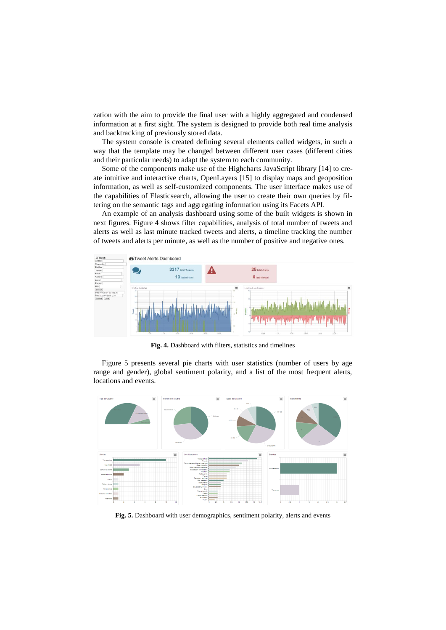zation with the aim to provide the final user with a highly aggregated and condensed information at a first sight. The system is designed to provide both real time analysis and backtracking of previously stored data.

The system console is created defining several elements called widgets, in such a way that the template may be changed between different user cases (different cities and their particular needs) to adapt the system to each community.

Some of the components make use of the Highcharts JavaScript library [\[14\]](#page-9-6) to create intuitive and interactive charts, OpenLayers [\[15\]](#page-9-7) to display maps and geoposition information, as well as self-customized components. The user interface makes use of the capabilities of Elasticsearch, allowing the user to create their own queries by filtering on the semantic tags and aggregating information using its Facets API.

An example of an analysis dashboard using some of the built widgets is shown in next figures. Figure 4 shows filter capabilities, analysis of total number of tweets and alerts as well as last minute tracked tweets and alerts, a timeline tracking the number of tweets and alerts per minute, as well as the number of positive and negative ones.



**Fig. 4.** Dashboard with filters, statistics and timelines

Figure 5 presents several pie charts with user statistics (number of users by age range and gender), global sentiment polarity, and a list of the most frequent alerts, locations and events.



**Fig. 5.** Dashboard with user demographics, sentiment polarity, alerts and events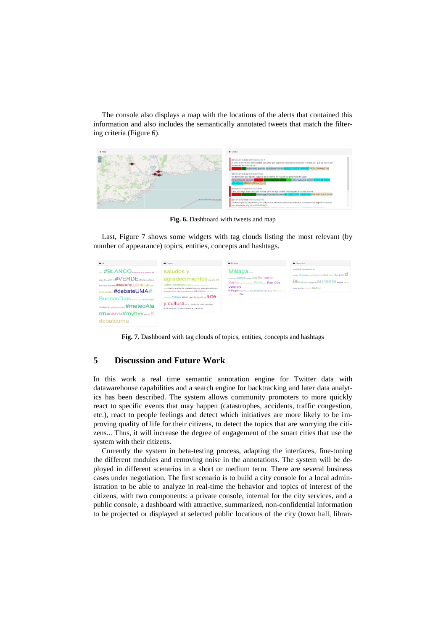The console also displays a map with the locations of the alerts that contained this information and also includes the semantically annotated tweets that match the filtering criteria (Figure 6).



**Fig. 6.** Dashboard with tweets and map

Last, Figure 7 shows some widgets with tag clouds listing the most relevant (by number of appearance) topics, entities, concepts and hashtags.

| 46,16                                                                                                                                                                                   | Topics                                                                                                                                                                                                                                                                                                                                              | <b>A</b> Entities                                                                                                                                                         | Concepts                                                                                                                                                    |
|-----------------------------------------------------------------------------------------------------------------------------------------------------------------------------------------|-----------------------------------------------------------------------------------------------------------------------------------------------------------------------------------------------------------------------------------------------------------------------------------------------------------------------------------------------------|---------------------------------------------------------------------------------------------------------------------------------------------------------------------------|-------------------------------------------------------------------------------------------------------------------------------------------------------------|
| #BLANCO #votambiéntasattato #b<br>Appy #Lagis2014 #VERDE #ExcusanAtsur<br>dasParaNoQuedar #AMARILLO #EnlaBuen<br>#debateUMA#<br>BuenosDias<br>#meteoAla<br>rm#HIMYM#myhyv.<br>debateuma | saludos y<br>agradecimientos superioras<br>untos sociales polica dovers certion y<br>medio ambiente, meteorología y energía miseres y<br>возветна плане узаи у верхничены ОФИС-ВСКОП капла у<br><b>In trabajo salud</b> policia y justicia $\text{a}$ rte<br>V Cultura ocio, estilo de vida y tiempo<br>libre religión y credos economía y finanzas | Málaga<br>MARINE Blanco Hang Ole Semana<br>Santa <i>vincence</i> Abril un Real Club<br>Deportivo<br>Málaga España Aye bos Zaragoza Yera Teter Tio pero no<br>$\mathbf{r}$ | expedients de regulación de<br>ensity clase these munde cercona final sees nito gente C<br>ia kehin  https://statis SUITESte madre<br>sanas felicitad  CBSB |

**Fig. 7.** Dashboard with tag clouds of topics, entities, concepts and hashtags

# **5 Discussion and Future Work**

In this work a real time semantic annotation engine for Twitter data with datawarehouse capabilities and a search engine for backtracking and later data analytics has been described. The system allows community promoters to more quickly react to specific events that may happen (catastrophes, accidents, traffic congestion, etc.), react to people feelings and detect which initiatives are more likely to be improving quality of life for their citizens, to detect the topics that are worrying the citizens... Thus, it will increase the degree of engagement of the smart cities that use the system with their citizens.

Currently the system in beta-testing process, adapting the interfaces, fine-tuning the different modules and removing noise in the annotations. The system will be deployed in different scenarios in a short or medium term. There are several business cases under negotiation. The first scenario is to build a city console for a local administration to be able to analyze in real-time the behavior and topics of interest of the citizens, with two components: a private console, internal for the city services, and a public console, a dashboard with attractive, summarized, non-confidential information to be projected or displayed at selected public locations of the city (town hall, librar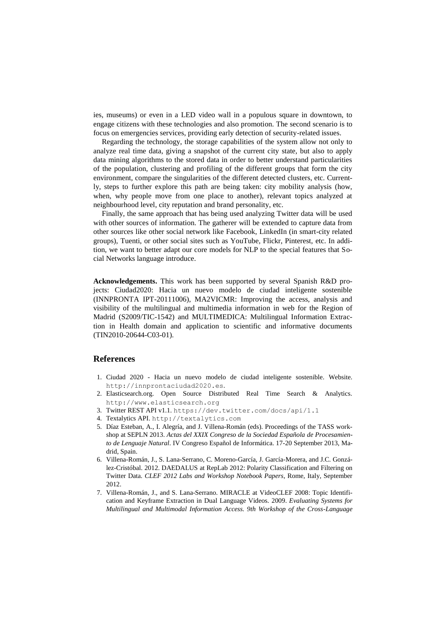ies, museums) or even in a LED video wall in a populous square in downtown, to engage citizens with these technologies and also promotion. The second scenario is to focus on emergencies services, providing early detection of security-related issues.

Regarding the technology, the storage capabilities of the system allow not only to analyze real time data, giving a snapshot of the current city state, but also to apply data mining algorithms to the stored data in order to better understand particularities of the population, clustering and profiling of the different groups that form the city environment, compare the singularities of the different detected clusters, etc. Currently, steps to further explore this path are being taken: city mobility analysis (how, when, why people move from one place to another), relevant topics analyzed at neighbourhood level, city reputation and brand personality, etc.

Finally, the same approach that has being used analyzing Twitter data will be used with other sources of information. The gatherer will be extended to capture data from other sources like other social network like Facebook, LinkedIn (in smart-city related groups), Tuenti, or other social sites such as YouTube, Flickr, Pinterest, etc. In addition, we want to better adapt our core models for NLP to the special features that Social Networks language introduce.

**Acknowledgements.** This work has been supported by several Spanish R&D projects: Ciudad2020: Hacia un nuevo modelo de ciudad inteligente sostenible (INNPRONTA IPT-20111006), MA2VICMR: Improving the access, analysis and visibility of the multilingual and multimedia information in web for the Region of Madrid (S2009/TIC-1542) and MULTIMEDICA: Multilingual Information Extraction in Health domain and application to scientific and informative documents (TIN2010-20644-C03-01).

### **References**

- <span id="page-8-0"></span>1. Ciudad 2020 - Hacia un nuevo modelo de ciudad inteligente sostenible. Website. http://innprontaciudad2020.es.
- <span id="page-8-1"></span>2. Elasticsearch.org. Open Source Distributed Real Time Search & Analytics. http://www.elasticsearch.org
- <span id="page-8-2"></span>3. Twitter REST API v1.1. <https://dev.twitter.com/docs/api/1.1>
- <span id="page-8-3"></span>4. Textalytics API. [http://textalytics.com](http://textalytics.com/)
- <span id="page-8-4"></span>5. Díaz Esteban, A., I. Alegría, and J. Villena-Román (eds). Proceedings of the TASS workshop at SEPLN 2013. *Actas del XXIX Congreso de la Sociedad Española de Procesamiento de Lenguaje Natural*. IV Congreso Español de Informática. 17-20 September 2013, Madrid, Spain.
- <span id="page-8-5"></span>6. Villena-Román, J., S. Lana-Serrano, C. Moreno-García, J. García-Morera, and J.C. González-Cristóbal. 2012. DAEDALUS at RepLab 2012: Polarity Classification and Filtering on Twitter Data*. CLEF 2012 Labs and Workshop Notebook Papers*, Rome, Italy, September 2012.
- <span id="page-8-6"></span>7. Villena-Román, J., and S. Lana-Serrano. MIRACLE at VideoCLEF 2008: Topic Identification and Keyframe Extraction in Dual Language Videos. 2009. *Evaluating Systems for Multilingual and Multimodal Information Access. 9th Workshop of the Cross-Language*